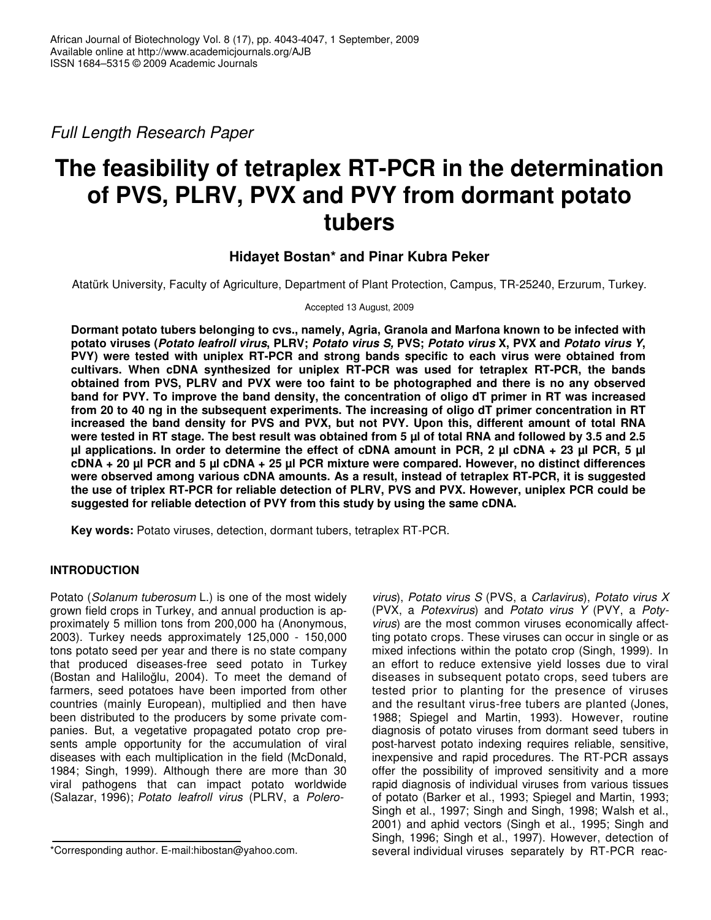*Full Length Research Paper*

# **The feasibility of tetraplex RT-PCR in the determination of PVS, PLRV, PVX and PVY from dormant potato tubers**

# **Hidayet Bostan\* and Pinar Kubra Peker**

Atatürk University, Faculty of Agriculture, Department of Plant Protection, Campus, TR-25240, Erzurum, Turkey.

Accepted 13 August, 2009

**Dormant potato tubers belonging to cvs., namely, Agria, Granola and Marfona known to be infected with** potato viruses (Potato leafroll virus, PLRV; Potato virus S, PVS; Potato virus X, PVX and Potato virus Y, **PVY) were tested with uniplex RT-PCR and strong bands specific to each virus were obtained from cultivars. When cDNA synthesized for uniplex RT-PCR was used for tetraplex RT-PCR, the bands obtained from PVS, PLRV and PVX were too faint to be photographed and there is no any observed** band for PVY. To improve the band density, the concentration of oligo dT primer in RT was increased from 20 to 40 ng in the subsequent experiments. The increasing of oligo dT primer concentration in RT **increased the band density for PVS and PVX, but not PVY. Upon this, different amount of total RNA** were tested in RT stage. The best result was obtained from 5 µl of total RNA and followed by 3.5 and 2.5 ul applications. In order to determine the effect of cDNA amount in PCR, 2 ul cDNA + 23 ul PCR, 5 ul  $CDNA + 20 \mu I$  PCR and 5  $\mu I$  CDNA + 25  $\mu I$  PCR mixture were compared. However, no distinct differences **were observed among various cDNA amounts. As a result, instead of tetraplex RT-PCR, it is suggested** the use of triplex RT-PCR for reliable detection of PLRV, PVS and PVX. However, uniplex PCR could be **suggested for reliable detection of PVY from this study by using the same cDNA.**

**Key words:** Potato viruses, detection, dormant tubers, tetraplex RT-PCR.

## **INTRODUCTION**

Potato (*Solanum tuberosum* L.) is one of the most widely grown field crops in Turkey, and annual production is approximately 5 million tons from 200,000 ha (Anonymous, 2003). Turkey needs approximately 125,000 - 150,000 tons potato seed per year and there is no state company that produced diseases-free seed potato in Turkey (Bostan and Haliloğlu, 2004). To meet the demand of farmers, seed potatoes have been imported from other countries (mainly European), multiplied and then have been distributed to the producers by some private companies. But, a vegetative propagated potato crop presents ample opportunity for the accumulation of viral diseases with each multiplication in the field (McDonald, 1984; Singh, 1999). Although there are more than 30 viral pathogens that can impact potato worldwide (Salazar, 1996); *Potato leafroll virus* (PLRV, a *Polero-* *virus*), *Potato virus S* (PVS, a *Carlavirus*), *Potato virus X* (PVX, a *Potexvirus*) and *Potato virus Y* (PVY, a *Potyvirus*) are the most common viruses economically affectting potato crops. These viruses can occur in single or as mixed infections within the potato crop (Singh, 1999). In an effort to reduce extensive yield losses due to viral diseases in subsequent potato crops, seed tubers are tested prior to planting for the presence of viruses and the resultant virus-free tubers are planted (Jones, 1988; Spiegel and Martin, 1993). However, routine diagnosis of potato viruses from dormant seed tubers in post-harvest potato indexing requires reliable, sensitive, inexpensive and rapid procedures. The RT-PCR assays offer the possibility of improved sensitivity and a more rapid diagnosis of individual viruses from various tissues of potato (Barker et al., 1993; Spiegel and Martin, 1993; Singh et al., 1997; Singh and Singh, 1998; Walsh et al., 2001) and aphid vectors (Singh et al., 1995; Singh and Singh, 1996; Singh et al., 1997). However, detection of several individual viruses separately by RT-PCR reac-

<sup>\*</sup>Corresponding author. E-mail:hibostan@yahoo.com.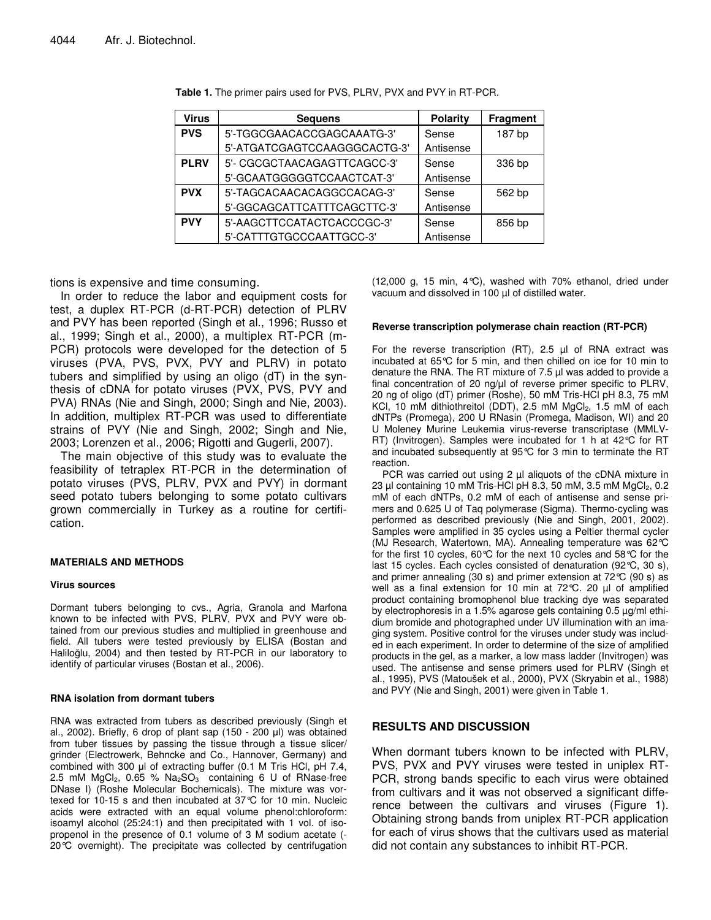| <b>Virus</b> | <b>Sequens</b>               | <b>Polarity</b> | <b>Fragment</b> |
|--------------|------------------------------|-----------------|-----------------|
| <b>PVS</b>   | 5'-TGGCGAACACCGAGCAAATG-3'   | Sense           | 187 bp          |
|              | 5'-ATGATCGAGTCCAAGGGCACTG-3' | Antisense       |                 |
| <b>PLRV</b>  | 5'- CGCGCTAACAGAGTTCAGCC-3'  | Sense           | 336 bp          |
|              | 5'-GCAATGGGGGTCCAACTCAT-3'   | Antisense       |                 |
| <b>PVX</b>   | 5'-TAGCACAACACAGGCCACAG-3'   | Sense           | 562 bp          |
|              | 5'-GGCAGCATTCATTTCAGCTTC-3'  | Antisense       |                 |
| <b>PVY</b>   | 5'-AAGCTTCCATACTCACCCGC-3'   | Sense           | 856 bp          |
|              | 5'-CATTTGTGCCCAATTGCC-3'     | Antisense       |                 |

**Table 1.** The primer pairs used for PVS, PLRV, PVX and PVY in RT-PCR.

tions is expensive and time consuming.

In order to reduce the labor and equipment costs for test, a duplex RT-PCR (d-RT-PCR) detection of PLRV and PVY has been reported (Singh et al., 1996; Russo et al., 1999; Singh et al., 2000), a multiplex RT-PCR (m-PCR) protocols were developed for the detection of 5 viruses (PVA, PVS, PVX, PVY and PLRV) in potato tubers and simplified by using an oligo (dT) in the synthesis of cDNA for potato viruses (PVX, PVS, PVY and PVA) RNAs (Nie and Singh, 2000; Singh and Nie, 2003). In addition, multiplex RT-PCR was used to differentiate strains of PVY (Nie and Singh, 2002; Singh and Nie, 2003; Lorenzen et al., 2006; Rigotti and Gugerli, 2007).

The main objective of this study was to evaluate the feasibility of tetraplex RT-PCR in the determination of potato viruses (PVS, PLRV, PVX and PVY) in dormant seed potato tubers belonging to some potato cultivars grown commercially in Turkey as a routine for certification.

#### **MATERIALS AND METHODS**

#### **Virus sources**

Dormant tubers belonging to cvs., Agria, Granola and Marfona known to be infected with PVS, PLRV, PVX and PVY were obtained from our previous studies and multiplied in greenhouse and field. All tubers were tested previously by ELISA (Bostan and Haliloğlu, 2004) and then tested by RT-PCR in our laboratory to identify of particular viruses (Bostan et al., 2006).

#### **RNA isolation from dormant tubers**

RNA was extracted from tubers as described previously (Singh et al., 2002). Briefly, 6 drop of plant sap (150 - 200 µl) was obtained from tuber tissues by passing the tissue through a tissue slicer/ grinder (Electrowerk, Behncke and Co., Hannover, Germany) and combined with 300 µl of extracting buffer (0.1 M Tris HCl, pH 7.4, 2.5 mM  $MgCl<sub>2</sub>$ , 0.65 %  $Na<sub>2</sub>SO<sub>3</sub>$  containing 6 U of RNase-free DNase I) (Roshe Molecular Bochemicals). The mixture was vortexed for 10-15 s and then incubated at 37°C for 10 min. Nucleic acids were extracted with an equal volume phenol:chloroform: isoamyl alcohol (25:24:1) and then precipitated with 1 vol. of isopropenol in the presence of 0.1 volume of 3 M sodium acetate (- 20°C overnight). The precipitate was collected by centrifugation (12,000 g, 15 min, 4°C), washed with 70% ethanol, dried under vacuum and dissolved in 100 µl of distilled water.

#### **Reverse transcription polymerase chain reaction (RT-PCR)**

For the reverse transcription (RT), 2.5 µl of RNA extract was incubated at 65°C for 5 min, and then chilled on ice for 10 min to denature the RNA. The RT mixture of 7.5 µl was added to provide a final concentration of 20 ng/µl of reverse primer specific to PLRV, 20 ng of oligo (dT) primer (Roshe), 50 mM Tris-HCl pH 8.3, 75 mM KCl, 10 mM dithiothreitol (DDT), 2.5 mM  $MgCl<sub>2</sub>$ , 1.5 mM of each dNTPs (Promega), 200 U RNasin (Promega, Madison, WI) and 20 U Moleney Murine Leukemia virus-reverse transcriptase (MMLV-RT) (Invitrogen). Samples were incubated for 1 h at 42°C for RT and incubated subsequently at 95°C for 3 min to terminate the RT reaction.

PCR was carried out using 2 µl aliquots of the cDNA mixture in 23  $\mu$ I containing 10 mM Tris-HCl pH 8.3, 50 mM, 3.5 mM MgCl<sub>2</sub>, 0.2 mM of each dNTPs, 0.2 mM of each of antisense and sense primers and 0.625 U of Taq polymerase (Sigma). Thermo-cycling was performed as described previously (Nie and Singh, 2001, 2002). Samples were amplified in 35 cycles using a Peltier thermal cycler (MJ Research, Watertown, MA). Annealing temperature was 62°C for the first 10 cycles, 60°C for the next 10 cycles and 58°C for the last 15 cycles. Each cycles consisted of denaturation (92°C, 30 s), and primer annealing (30 s) and primer extension at 72°C (90 s) as well as a final extension for 10 min at 72℃. 20 µl of amplified product containing bromophenol blue tracking dye was separated by electrophoresis in a 1.5% agarose gels containing 0.5 µg/ml ethidium bromide and photographed under UV illumination with an imaging system. Positive control for the viruses under study was included in each experiment. In order to determine of the size of amplified products in the gel, as a marker, a low mass ladder (Invitrogen) was used. The antisense and sense primers used for PLRV (Singh et al., 1995), PVS (Matoušek et al., 2000), PVX (Skryabin et al., 1988) and PVY (Nie and Singh, 2001) were given in Table 1.

### **RESULTS AND DISCUSSION**

When dormant tubers known to be infected with PLRV, PVS, PVX and PVY viruses were tested in uniplex RT-PCR, strong bands specific to each virus were obtained from cultivars and it was not observed a significant difference between the cultivars and viruses (Figure 1). Obtaining strong bands from uniplex RT-PCR application for each of virus shows that the cultivars used as material did not contain any substances to inhibit RT-PCR.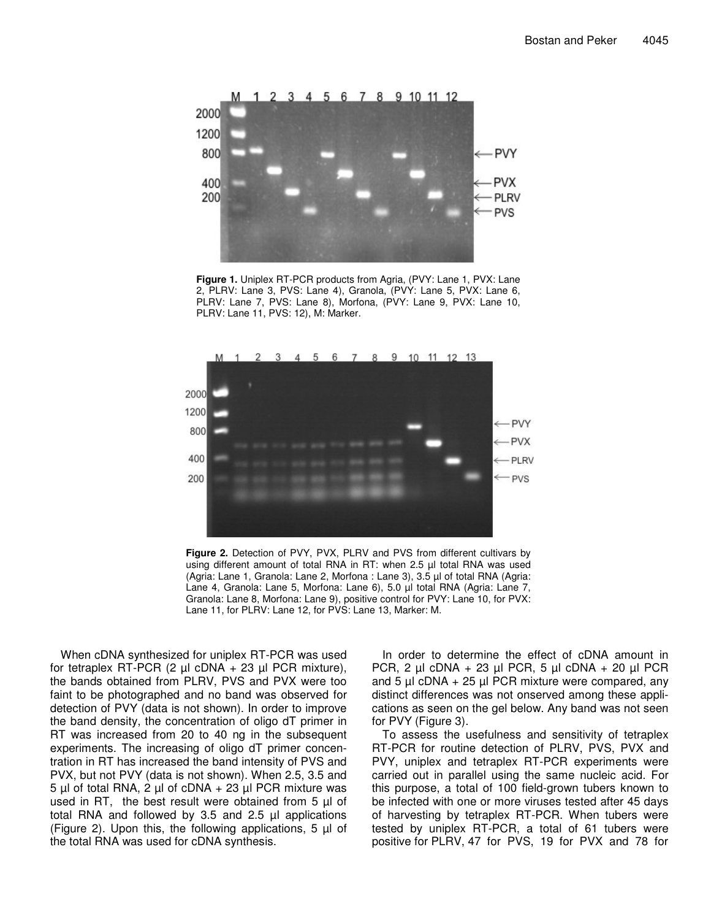

**Figure 1.** Uniplex RT-PCR products from Agria, (PVY: Lane 1, PVX: Lane 2, PLRV: Lane 3, PVS: Lane 4), Granola, (PVY: Lane 5, PVX: Lane 6, PLRV: Lane 7, PVS: Lane 8), Morfona, (PVY: Lane 9, PVX: Lane 10, PLRV: Lane 11, PVS: 12), M: Marker.



**Figure 2.** Detection of PVY, PVX, PLRV and PVS from different cultivars by using different amount of total RNA in RT: when 2.5 µl total RNA was used (Agria: Lane 1, Granola: Lane 2, Morfona : Lane 3), 3.5 µl of total RNA (Agria: Lane 4, Granola: Lane 5, Morfona: Lane 6), 5.0 µl total RNA (Agria: Lane 7, Granola: Lane 8, Morfona: Lane 9), positive control for PVY: Lane 10, for PVX: Lane 11, for PLRV: Lane 12, for PVS: Lane 13, Marker: M.

When cDNA synthesized for uniplex RT-PCR was used for tetraplex RT-PCR  $(2 \mu \text{cDNA} + 23 \mu \text{PCR mixture})$ , the bands obtained from PLRV, PVS and PVX were too faint to be photographed and no band was observed for detection of PVY (data is not shown). In order to improve the band density, the concentration of oligo dT primer in RT was increased from 20 to 40 ng in the subsequent experiments. The increasing of oligo dT primer concentration in RT has increased the band intensity of PVS and PVX, but not PVY (data is not shown). When 2.5, 3.5 and 5 µl of total RNA, 2 µl of cDNA + 23 µl PCR mixture was used in RT, the best result were obtained from 5 µl of total RNA and followed by 3.5 and 2.5 µl applications (Figure 2). Upon this, the following applications, 5 µl of the total RNA was used for cDNA synthesis.

In order to determine the effect of cDNA amount in PCR, 2 µl cDNA + 23 µl PCR, 5 µl cDNA + 20 µl PCR and 5  $\mu$ l cDNA + 25  $\mu$ l PCR mixture were compared, any distinct differences was not onserved among these applications as seen on the gel below. Any band was not seen for PVY (Figure 3).

To assess the usefulness and sensitivity of tetraplex RT-PCR for routine detection of PLRV, PVS, PVX and PVY, uniplex and tetraplex RT-PCR experiments were carried out in parallel using the same nucleic acid. For this purpose, a total of 100 field-grown tubers known to be infected with one or more viruses tested after 45 days of harvesting by tetraplex RT-PCR. When tubers were tested by uniplex RT-PCR, a total of 61 tubers were positive for PLRV, 47 for PVS, 19 for PVX and 78 for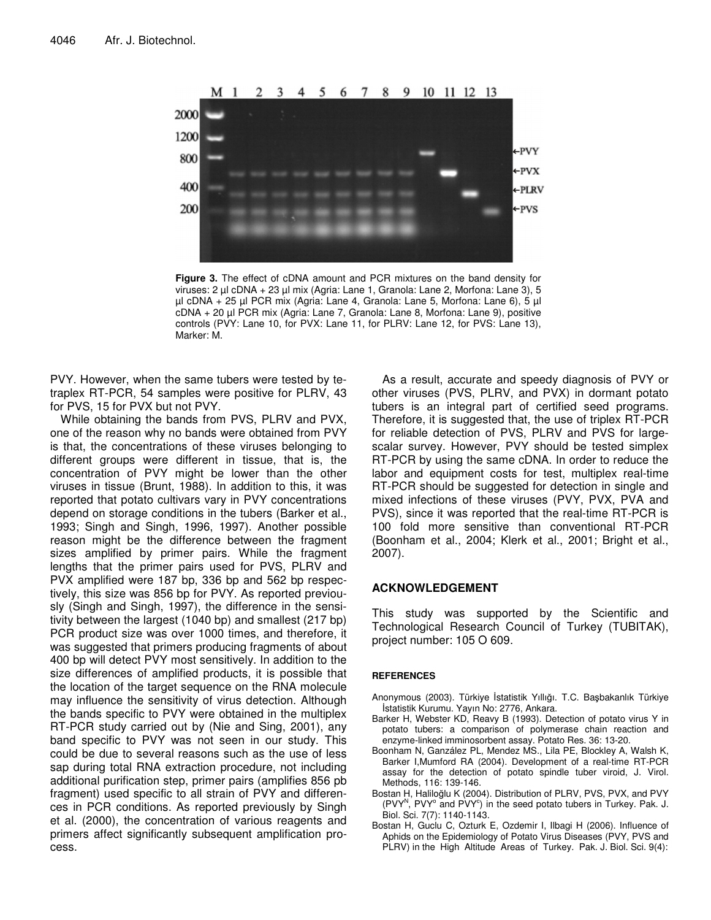

**Figure 3.** The effect of cDNA amount and PCR mixtures on the band density for viruses: 2 µl cDNA + 23 µl mix (Agria: Lane 1, Granola: Lane 2, Morfona: Lane 3), 5 µl cDNA + 25 µl PCR mix (Agria: Lane 4, Granola: Lane 5, Morfona: Lane 6), 5 µl cDNA + 20 µl PCR mix (Agria: Lane 7, Granola: Lane 8, Morfona: Lane 9), positive controls (PVY: Lane 10, for PVX: Lane 11, for PLRV: Lane 12, for PVS: Lane 13), Marker: M.

PVY. However, when the same tubers were tested by tetraplex RT-PCR, 54 samples were positive for PLRV, 43 for PVS, 15 for PVX but not PVY.

While obtaining the bands from PVS, PLRV and PVX, one of the reason why no bands were obtained from PVY is that, the concentrations of these viruses belonging to different groups were different in tissue, that is, the concentration of PVY might be lower than the other viruses in tissue (Brunt, 1988). In addition to this, it was reported that potato cultivars vary in PVY concentrations depend on storage conditions in the tubers (Barker et al., 1993; Singh and Singh, 1996, 1997). Another possible reason might be the difference between the fragment sizes amplified by primer pairs. While the fragment lengths that the primer pairs used for PVS, PLRV and PVX amplified were 187 bp, 336 bp and 562 bp respectively, this size was 856 bp for PVY. As reported previously (Singh and Singh, 1997), the difference in the sensitivity between the largest (1040 bp) and smallest (217 bp) PCR product size was over 1000 times, and therefore, it was suggested that primers producing fragments of about 400 bp will detect PVY most sensitively. In addition to the size differences of amplified products, it is possible that the location of the target sequence on the RNA molecule may influence the sensitivity of virus detection. Although the bands specific to PVY were obtained in the multiplex RT-PCR study carried out by (Nie and Sing, 2001), any band specific to PVY was not seen in our study. This could be due to several reasons such as the use of less sap during total RNA extraction procedure, not including additional purification step, primer pairs (amplifies 856 pb fragment) used specific to all strain of PVY and differences in PCR conditions. As reported previously by Singh et al. (2000), the concentration of various reagents and primers affect significantly subsequent amplification process.

As a result, accurate and speedy diagnosis of PVY or other viruses (PVS, PLRV, and PVX) in dormant potato tubers is an integral part of certified seed programs. Therefore, it is suggested that, the use of triplex RT-PCR for reliable detection of PVS, PLRV and PVS for largescalar survey. However, PVY should be tested simplex RT-PCR by using the same cDNA. In order to reduce the labor and equipment costs for test, multiplex real-time RT-PCR should be suggested for detection in single and mixed infections of these viruses (PVY, PVX, PVA and PVS), since it was reported that the real-time RT-PCR is 100 fold more sensitive than conventional RT-PCR (Boonham et al., 2004; Klerk et al., 2001; Bright et al., 2007).

#### **ACKNOWLEDGEMENT**

This study was supported by the Scientific and Technological Research Council of Turkey (TUBITAK), project number: 105 O 609.

#### **REFERENCES**

- Anonymous (2003). Türkiye İstatistik Yıllığı. T.C. Başbakanlık Türkiye statistik Kurumu. Yayın No: 2776, Ankara.
- Barker H, Webster KD, Reavy B (1993). Detection of potato virus Y in potato tubers: a comparison of polymerase chain reaction and enzyme-linked imminosorbent assay. Potato Res. 36: 13-20.
- Boonham N, Ganzález PL, Mendez MS., Lila PE, Blockley A, Walsh K, Barker I,Mumford RA (2004). Development of a real-time RT-PCR assay for the detection of potato spindle tuber viroid, J. Virol. Methods, 116: 139-146.
- Bostan H, Haliloğlu K (2004). Distribution of PLRV, PVS, PVX, and PVY (PVY<sup>N</sup>, PVY<sup>o</sup> and PVY<sup>o</sup>) in the seed potato tubers in Turkey. Pak. J. Biol. Sci. 7(7): 1140-1143.
- Bostan H, Guclu C, Ozturk E, Ozdemir I, Ilbagi H (2006). Influence of Aphids on the Epidemiology of Potato Virus Diseases (PVY, PVS and PLRV) in the High Altitude Areas of Turkey. Pak. J. Biol. Sci. 9(4):